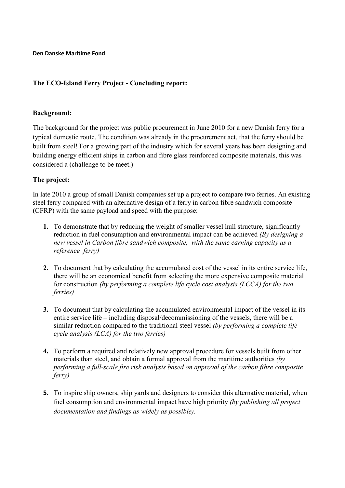**Den Danske Maritime Fond**

# **The ECO-Island Ferry Project - Concluding report:**

### **Background:**

The background for the project was public procurement in June 2010 for a new Danish ferry for a typical domestic route. The condition was already in the procurement act, that the ferry should be built from steel! For a growing part of the industry which for several years has been designing and building energy efficient ships in carbon and fibre glass reinforced composite materials, this was considered a (challenge to be meet.)

## **The project:**

In late 2010 a group of small Danish companies set up a project to compare two ferries. An existing steel ferry compared with an alternative design of a ferry in carbon fibre sandwich composite (CFRP) with the same payload and speed with the purpose:

- **1.** To demonstrate that by reducing the weight of smaller vessel hull structure, significantly reduction in fuel consumption and environmental impact can be achieved *(By designing a new vessel in Carbon fibre sandwich composite, with the same earning capacity as a reference ferry)*
- **2.** To document that by calculating the accumulated cost of the vessel in its entire service life, there will be an economical benefit from selecting the more expensive composite material for construction *(by performing a complete life cycle cost analysis (LCCA) for the two ferries)*
- **3.** To document that by calculating the accumulated environmental impact of the vessel in its entire service life – including disposal/decommissioning of the vessels, there will be a similar reduction compared to the traditional steel vessel *(by performing a complete life cycle analysis (LCA) for the two ferries)*
- **4.** To perform a required and relatively new approval procedure for vessels built from other materials than steel, and obtain a formal approval from the maritime authorities *(by performing a full-scale fire risk analysis based on approval of the carbon fibre composite ferry)*
- **5.** To inspire ship owners, ship yards and designers to consider this alternative material, when fuel consumption and environmental impact have high priority *(by publishing all project documentation and findings as widely as possible)*.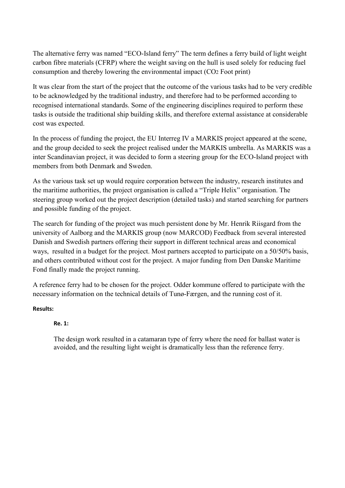The alternative ferry was named "ECO-Island ferry" The term defines a ferry build of light weight carbon fibre materials (CFRP) where the weight saving on the hull is used solely for reducing fuel consumption and thereby lowering the environmental impact (CO2 Foot print)

It was clear from the start of the project that the outcome of the various tasks had to be very credible to be acknowledged by the traditional industry, and therefore had to be performed according to recognised international standards. Some of the engineering disciplines required to perform these tasks is outside the traditional ship building skills, and therefore external assistance at considerable cost was expected.

In the process of funding the project, the EU Interreg IV a MARKIS project appeared at the scene, and the group decided to seek the project realised under the MARKIS umbrella. As MARKIS was a inter Scandinavian project, it was decided to form a steering group for the ECO-Island project with members from both Denmark and Sweden.

As the various task set up would require corporation between the industry, research institutes and the maritime authorities, the project organisation is called a "Triple Helix" organisation. The steering group worked out the project description (detailed tasks) and started searching for partners and possible funding of the project.

The search for funding of the project was much persistent done by Mr. Henrik Riisgard from the university of Aalborg and the MARKIS group (now MARCOD) Feedback from several interested Danish and Swedish partners offering their support in different technical areas and economical ways, resulted in a budget for the project. Most partners accepted to participate on a 50/50% basis, and others contributed without cost for the project. A major funding from Den Danske Maritime Fond finally made the project running.

A reference ferry had to be chosen for the project. Odder kommune offered to participate with the necessary information on the technical details of Tunø-Færgen, and the running cost of it.

## **Results:**

# **Re. 1:**

The design work resulted in a catamaran type of ferry where the need for ballast water is avoided, and the resulting light weight is dramatically less than the reference ferry.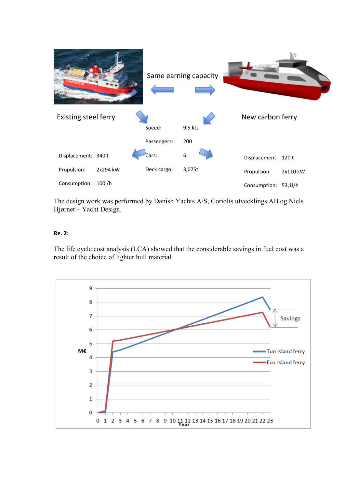

The design work was performed by Danish Yachts A/S, Coriolis utvecklings AB og Niels Hjørnet – Yacht Design.

### **Re. 2:**

The life cycle cost analysis (LCA) showed that the considerable savings in fuel cost was a result of the choice of lighter hull material.

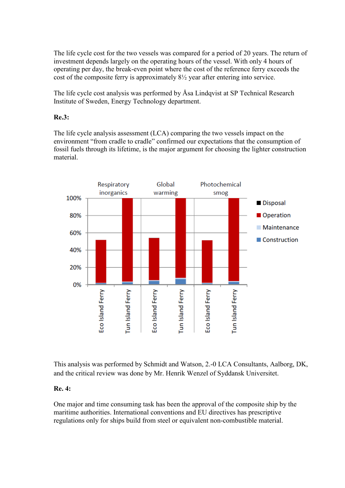The life cycle cost for the two vessels was compared for a period of 20 years. The return of investment depends largely on the operating hours of the vessel. With only 4 hours of operating per day, the break-even point where the cost of the reference ferry exceeds the cost of the composite ferry is approximately 8½ year after entering into service.

The life cycle cost analysis was performed by Åsa Lindqvist at SP Technical Research Institute of Sweden, Energy Technology department.

## **Re.3:**

The life cycle analysis assessment (LCA) comparing the two vessels impact on the environment "from cradle to cradle" confirmed our expectations that the consumption of fossil fuels through its lifetime, is the major argument for choosing the lighter construction material.



This analysis was performed by Schmidt and Watson, 2.-0 LCA Consultants, Aalborg, DK, and the critical review was done by Mr. Henrik Wenzel of Syddansk Universitet.

## **Re. 4:**

One major and time consuming task has been the approval of the composite ship by the maritime authorities. International conventions and EU directives has prescriptive regulations only for ships build from steel or equivalent non-combustible material.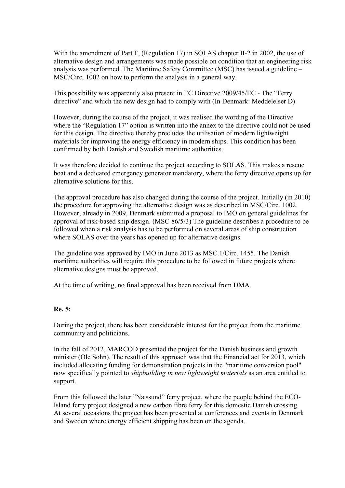With the amendment of Part F, (Regulation 17) in SOLAS chapter II-2 in 2002, the use of alternative design and arrangements was made possible on condition that an engineering risk analysis was performed. The Maritime Safety Committee (MSC) has issued a guideline – MSC/Circ. 1002 on how to perform the analysis in a general way.

This possibility was apparently also present in EC Directive 2009/45/EC - The "Ferry directive" and which the new design had to comply with (In Denmark: Meddelelser D)

However, during the course of the project, it was realised the wording of the Directive where the "Regulation 17" option is written into the annex to the directive could not be used for this design. The directive thereby precludes the utilisation of modern lightweight materials for improving the energy efficiency in modern ships. This condition has been confirmed by both Danish and Swedish maritime authorities.

It was therefore decided to continue the project according to SOLAS. This makes a rescue boat and a dedicated emergency generator mandatory, where the ferry directive opens up for alternative solutions for this.

The approval procedure has also changed during the course of the project. Initially (in 2010) the procedure for approving the alternative design was as described in MSC/Circ. 1002. However, already in 2009, Denmark submitted a proposal to IMO on general guidelines for approval of risk-based ship design. (MSC 86/5/3) The guideline describes a procedure to be followed when a risk analysis has to be performed on several areas of ship construction where SOLAS over the years has opened up for alternative designs.

The guideline was approved by IMO in June 2013 as MSC.1/Circ. 1455. The Danish maritime authorities will require this procedure to be followed in future projects where alternative designs must be approved.

At the time of writing, no final approval has been received from DMA.

#### **Re. 5:**

During the project, there has been considerable interest for the project from the maritime community and politicians.

In the fall of 2012, MARCOD presented the project for the Danish business and growth minister (Ole Sohn). The result of this approach was that the Financial act for 2013, which included allocating funding for demonstration projects in the "maritime conversion pool" now specifically pointed to *shipbuilding in new lightweight materials* as an area entitled to support.

From this followed the later "Næssund" ferry project, where the people behind the ECO-Island ferry project designed a new carbon fibre ferry for this domestic Danish crossing. At several occasions the project has been presented at conferences and events in Denmark and Sweden where energy efficient shipping has been on the agenda.